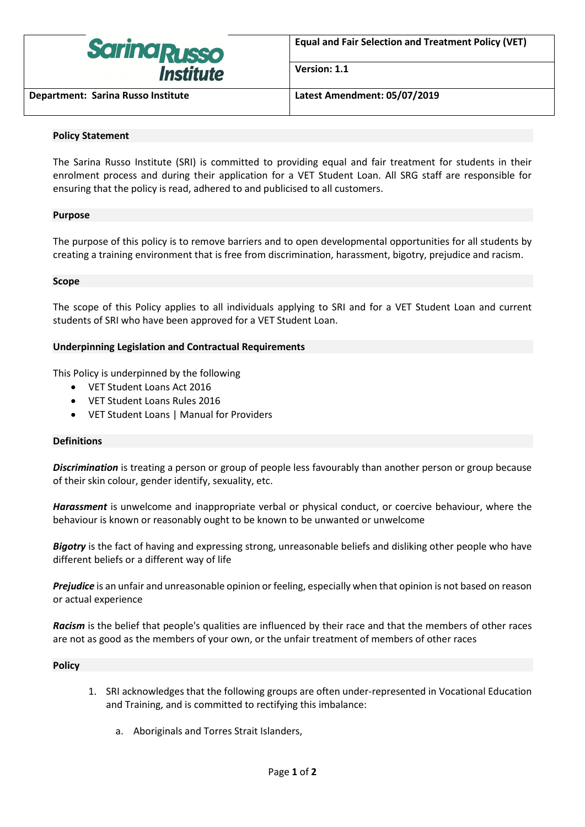

**Version: 1.1**

**Department: Sarina Russo Institute Latest Amendment: 05/07/2019**

# **Policy Statement**

The Sarina Russo Institute (SRI) is committed to providing equal and fair treatment for students in their enrolment process and during their application for a VET Student Loan. All SRG staff are responsible for ensuring that the policy is read, adhered to and publicised to all customers.

# **Purpose**

The purpose of this policy is to remove barriers and to open developmental opportunities for all students by creating a training environment that is free from discrimination, harassment, bigotry, prejudice and racism.

## **Scope**

The scope of this Policy applies to all individuals applying to SRI and for a VET Student Loan and current students of SRI who have been approved for a VET Student Loan.

# **Underpinning Legislation and Contractual Requirements**

This Policy is underpinned by the following

- VET Student Loans Act 2016
- VET Student Loans Rules 2016
- VET Student Loans | Manual for Providers

## **Definitions**

*Discrimination* is treating a person or group of people less favourably than another person or group because of their skin colour, gender identify, sexuality, etc.

*Harassment* is unwelcome and inappropriate verbal or physical conduct, or coercive behaviour, where the behaviour is known or reasonably ought to be known to be unwanted or unwelcome

*Bigotry* is the fact of having and expressing strong, unreasonable beliefs and disliking other people who have different beliefs or a different way of life

*Prejudice* is an unfair and unreasonable opinion or feeling, especially when that opinion is not based on reason or actual experience

*Racism* is the belief that people's qualities are influenced by their race and that the members of other races are not as good as the members of your own, or the unfair treatment of members of other races

## **Policy**

- 1. SRI acknowledges that the following groups are often under-represented in Vocational Education and Training, and is committed to rectifying this imbalance:
	- a. Aboriginals and Torres Strait Islanders,